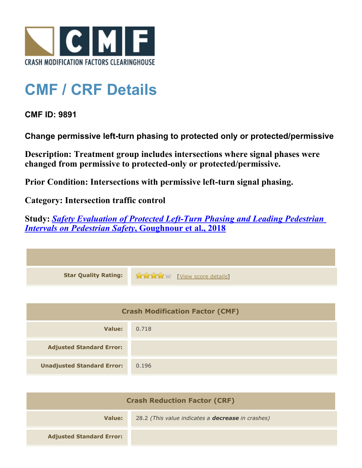

## **CMF / CRF Details**

## **CMF ID: 9891**

**Change permissive left-turn phasing to protected only or protected/permissive**

**Description: Treatment group includes intersections where signal phases were changed from permissive to protected-only or protected/permissive.**

**Prior Condition: Intersections with permissive left-turn signal phasing.**

**Category: Intersection traffic control**

**Study:** *[Safety Evaluation of Protected Left-Turn Phasing and Leading Pedestrian](http://www.cmfclearinghouse.org/study_detail.cfm?stid=559) [Intervals on Pedestrian Safety](http://www.cmfclearinghouse.org/study_detail.cfm?stid=559)***[, Goughnour et al., 2018](http://www.cmfclearinghouse.org/study_detail.cfm?stid=559)**

| <b>Crash Modification Factor (CMF)</b> |       |
|----------------------------------------|-------|
| Value:                                 | 0.718 |
| <b>Adjusted Standard Error:</b>        |       |
| <b>Unadjusted Standard Error:</b>      | 0.196 |

| <b>Crash Reduction Factor (CRF)</b> |                                                          |
|-------------------------------------|----------------------------------------------------------|
| Value:                              | 28.2 (This value indicates a <b>decrease</b> in crashes) |
| <b>Adjusted Standard Error:</b>     |                                                          |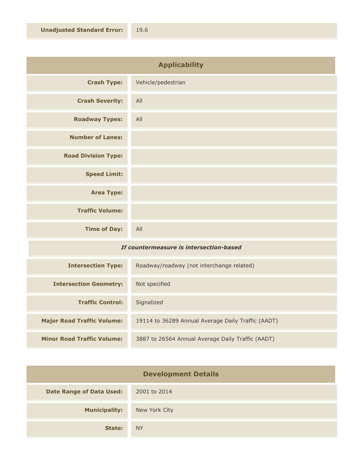| <b>Applicability</b>       |                    |
|----------------------------|--------------------|
| <b>Crash Type:</b>         | Vehicle/pedestrian |
| <b>Crash Severity:</b>     | All                |
| <b>Roadway Types:</b>      | All                |
| <b>Number of Lanes:</b>    |                    |
| <b>Road Division Type:</b> |                    |
| <b>Speed Limit:</b>        |                    |
| <b>Area Type:</b>          |                    |
| <b>Traffic Volume:</b>     |                    |
| <b>Time of Day:</b>        | All                |

## *If countermeasure is intersection-based*

| <b>Intersection Type:</b>         | Roadway/roadway (not interchange related)          |
|-----------------------------------|----------------------------------------------------|
| <b>Intersection Geometry:</b>     | Not specified                                      |
| <b>Traffic Control:</b>           | Signalized                                         |
| <b>Major Road Traffic Volume:</b> | 19114 to 36289 Annual Average Daily Traffic (AADT) |
| <b>Minor Road Traffic Volume:</b> | 3887 to 26564 Annual Average Daily Traffic (AADT)  |

| <b>Development Details</b>      |               |
|---------------------------------|---------------|
| <b>Date Range of Data Used:</b> | 2001 to 2014  |
| <b>Municipality:</b>            | New York City |
| State:                          | <b>NY</b>     |